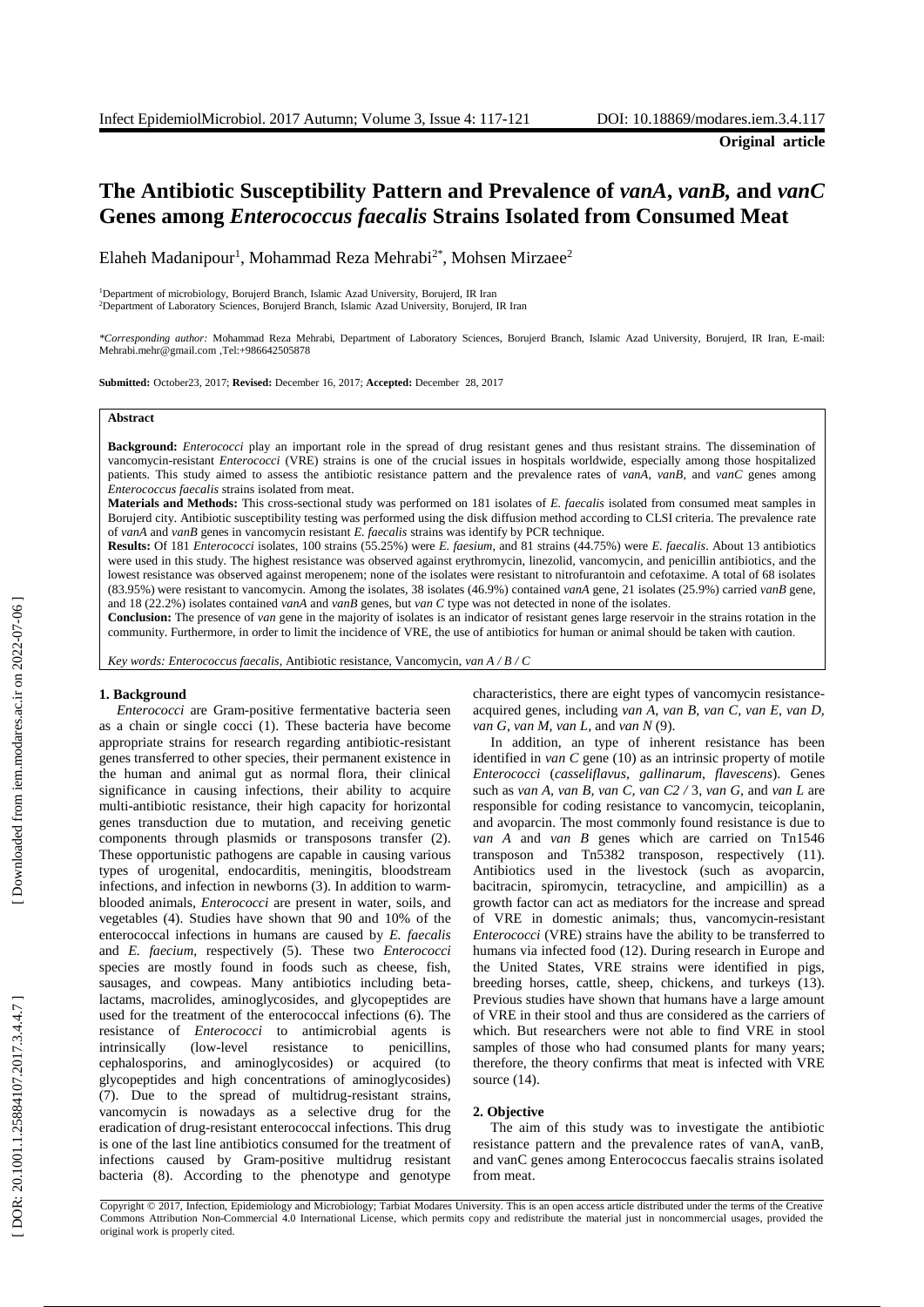# **The Antibiotic Susceptibility Pattern and Prevalence of** *vanA***,** *vanB,* **and** *vanC* **Genes among** *Enterococcus faecalis* **Strains Isolated from Consumed Meat**

Elaheh Madanipour<sup>1</sup>, Mohammad Reza Mehrabi<sup>2\*</sup>, Mohsen Mirzaee<sup>2</sup>

<sup>1</sup>Department of microbiology, Borujerd Branch, Islamic Azad University, Borujerd, IR Iran <sup>2</sup>Department of Laboratory Sciences, Borujerd Branch, Islamic Azad University, Borujerd, IR Iran

*\*Corresponding author:* Mohammad Reza Mehrabi, Department of Laboratory Sciences, Borujerd Branch, Islamic Azad University, Borujerd, IR Iran, E -mail: Mehrabi.mehr@gmail.com ,Tel:+986642505878

**Submitted:** October23, 2017; **Revised:** December 16, 2017; **Accepted:** December 28, 2017

## **Abstract**

Background: *Enterococci* play an important role in the spread of drug resistant genes and thus resistant strains. The dissemination of vancomycin -resistant *Enterococci* (VRE) strains is one of the crucial issues in hospitals worldwide , especially among those hospitalized patients. This study aimed to assess the antibiotic resistance pattern and the prevalence rates of *vanA*, *vanB* , and *vanC* genes among *Enterococcus faecalis* strains isolated from meat.

**Materials and Methods:** This cross -sectional study was performed on 181 isolates of *E . faecalis* isolated from consumed meat samples in Borujerd city. Antibiotic susceptibility testing was performed using the disk diffusion method according to CLSI criteria. The prevalence rate of *vanA* and *vanB* genes in vancomycin resistant *E. faecalis* strains was identify by PCR technique.

**Results:** Of 181 *Enterococci* isolates, 100 strains (55.25%) were *E . faesium ,* and 81 strains (44.75%) were *E . faecalis*. About 13 antibiotics were used in this study. The highest resistance was observed against erythromycin, linezolid, vancomycin , and penicillin antibiotics , and the lowest resistance was observed against meropenem ; none of the isolates were resistant to nitrofurantoin and cefotaxime. A total of 68 isolates (83.95%) were resistant to vancomycin. Among the isolates, 38 isolates (46.9%) contained *vanA* gene, 21 isolates (25.9%) carried *vanB* gene , and 18 (22.2%) isolates contained *vanA* and *vanB* genes, but *van C* type was not detected in none of the isolates .

**Conclusion:** The presence of *van* gene in the majority of isolates is an indicator of resistant genes large reservoir in the strains rotation in the community. Furthermore, in order to limit the incidence of VRE, the use of antibiotics for human or animal should be taken with caution .

*Key words: Enterococcus faecalis*, Antibiotic resistance, Vancomycin, *van A / B / C*

### **1. Background**

*Enterococci* are Gram -positive fermentative bacteria seen as a chain or single cocci (1). These bacteria have become appropriate strains for research regarding antibiotic -resistant genes transferred to other species, their permanent existence in the human and animal gut as normal flora, their clinical significance in causing infections, their ability to acquire multi -antibiotic resistance, their high capacity for horizontal genes transduction due to mutation, and receiving genetic components through plasmids or transposons transfer (2). These opportunistic pathogens are capable in causing various types of urogenital, endocarditis, meningitis, bloodstream infections , and infection in newborns (3). In addition to warm blooded animals , *Enterococci* are present in water, soils , and vegetables (4). Studies have shown that 90 and 10% of the enterococcal infections in humans are caused by *E. faecalis* and *E. faecium*, respectively (5). These two *Enterococci* species are mostly found in foods such as cheese, fish, sausages , and cowpeas. Many antibiotics including beta lactams, macrolides, aminoglycosides , and glycopeptides are used for the treatment of the enterococcal infections (6). The resistance of *Enterococci* to antimicrobial agents is intrinsically (low resistance to penicillins, cephalosporins , and aminoglycosides) or acquired (to glycopeptides and high concentrations of aminoglycosides) (7). Due to the spread of multidrug-resistant strains, vancomycin is nowadays as a selective drug for the eradication of drug-resistant enterococcal infections. This drug is one of the last line antibiotics consumed for the treatment of infections caused by Gram -positive multidrug resistant bacteria (8). According to the phenotype and genotype

characteristics, there are eight types of vancomycin resistance acquired genes, including *van A, van B, van C, van E, van D, van G, van M, van L ,* and *van N* (9).

In addition, an type of inherent resistance has been identified in *van C* gene (10) as an intrinsic property of motile *Enterococci* (*casseliflavus*, *gallinarum*, *flavescens*). Genes such as *van A*, *van B*, *van C*, *van C*2 / 3, *van G*, and *van L* are responsible for coding resistance to vancomycin, teicoplanin , and avoparcin. The most commonly found resistance is due to *van A* and *van B* genes which are carried on Tn1546 transposon and Tn5382 transposon , respectively (11). Antibiotics used in the livestock (such as avoparcin, bacitracin, spiromycin, tetracycline , and ampicillin) as a growth factor can act as mediators for the increase and spread of VRE in domestic animals; thus, vancomycin-resistant *Enterococci* (VRE) strains have the ability to be transferred to humans via infected food (12). During research in Europe and the United States, VRE strains were identified in pigs, breeding horses, cattle, sheep, chickens , and turkeys (13). Previous studies have shown that humans have a large amount of VRE in their stool and thus are considered as the carriers of which. But researchers were not able to find VRE in stool samples of those who had consumed plants for many years; therefore , the theory confirms that meat is infected with VRE source (14).

### **2. Objective**

The aim of this study was to investigate the antibiotic resistance pattern and the prevalence rates of vanA, vanB, and vanC genes among Enterococcus faecalis strains isolated from meat.

Copyright © 2017, Infection, Epidemiology and Microbiology; Tarbiat Modares University. This is an open access article distributed under the terms of the Creative Commons Attribution Non -Commercial 4.0 International License, which permits copy and redistribute the material just in noncommercial usages, provided the original work is properly cited .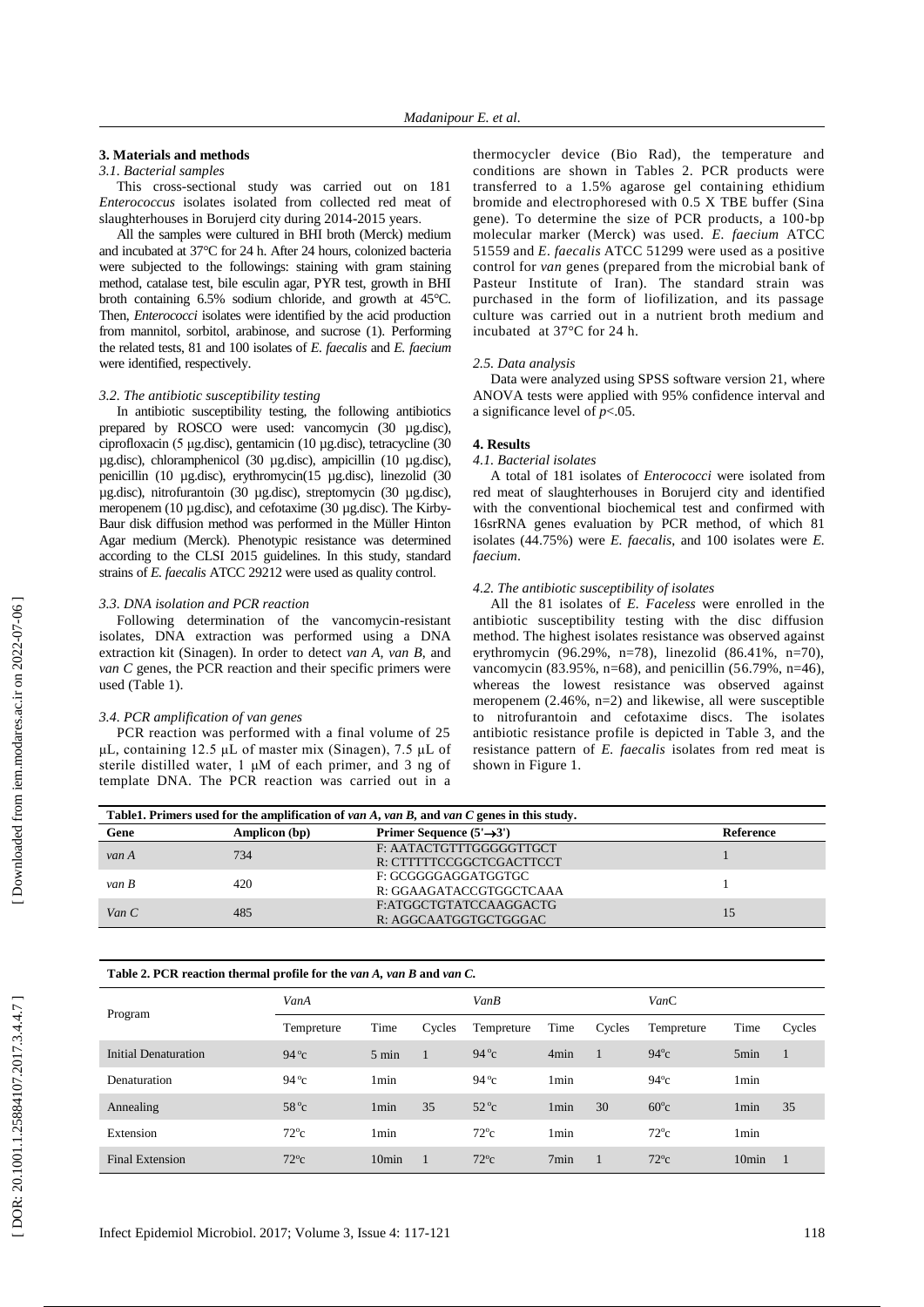# **3. Materials and methods**

# *3.1. Bacterial samples*

This cross -sectional study was carried out on 181 *Enterococcus* isolates isolated from collected red meat of slaughterhouses in Borujerd city during 2014-2015 years.

All the samples were cultured in BHI broth (Merck) medium and incubated at 37°C for 24 h. After 24 hours, colonize d bacteria were subjected to the followings: staining with gram staining method, catalase test, bile esculin agar, PYR test, growth in BHI broth containing 6.5% sodium chloride , and growth at 45°C. Then, *Enterococci* isolates were identified by the acid production from mannitol, sorbitol, arabinose, and sucrose ( 1). Performing the related tests, 81 and 100 isolates of *E. faecalis* and *E. faecium* were identified, respectively .

### *3.2. The antibiotic susceptibility testing*

In antibiotic susceptibility testing, the following antibiotics prepared by ROSCO were used: vancomycin (30 µg.disc), ciprofloxacin (5 μg .disc ), gentamicin (10 µg .disc ), tetracycline (30 μg.disc), chloramphenicol (30 μg.disc), ampicillin (10 μg.disc), penicillin (10 µg.disc), erythromycin(15 µg.disc), linezolid (30 µg .disc ), nitrofurantoin (30 µg .disc ), streptomycin (30 µg .disc ), meropenem (10 µg.disc), and cefotaxime (30 µg.disc). The Kirby-Baur disk diffusion method was performed in the Müller Hinton Agar medium (Merck). Phenotypic resistance was determined according to the CLSI 2015 guidelines. In this study, standard strains of *E. faecalis* ATCC 29212 were used as quality control.

### *3.3. DNA isolation and PCR reaction*

Following determination of the vancomycin-resistant isolates, DNA extraction was performed using a DNA extraction kit (Sinagen). In order to detect *van A*, *van B*, and *van C* genes, the PCR reaction and their specific primers were used (Table 1) .

### *3.4. PCR amplification of van genes*

PCR reaction was performed with a final volume of 25 μL, containing 12.5 μ L of master mix (Sinagen), 7.5 μ L of sterile distilled water, 1 μM of each primer, and 3 ng of template DNA. The PCR reaction was carried out in a

thermocycler device (Bio Rad) , the temperature and conditions are shown in Tables 2. PCR products were transferred to a 1.5% agarose gel containing ethidium bromide and electrophoresed with 0.5 X TBE buffer (Sina gene). To determine the size of PCR products, a 100 -bp molecular marker (Merck) was used. *E. faecium* ATCC 51559 and *E. faecalis* ATCC 51299 were used as a positive control for *van* genes (prepared from the microbial bank of Pasteur Institute of Iran). The standard strain was purchased in the form of liofilization, and its passage culture was carried out in a nutrient broth medium and incubated at 37°C for 24 h.

### *2.5. Data analysis*

Data were analyzed using SPSS software version 21, where ANOVA test s were applied with 95% confidence interval and a significance level of *p*<.05.

# **4. Results**

# *4.1. Bacterial isolates*

A total of 181 isolates of *Enterococci* were isolated from red meat of slaughterhouses in Borujerd city and identified with the conve ntional biochemical test and confirmed with 16srRNA genes evaluation by PCR method, of which 81 isolates (44.75%) were *E. faecalis* , and 100 isolates were *E. faecium*.

### *4.2. The antibiotic susceptibility of isolates*

All the 81 isolates of *E. Faceless* were enrolled in the antibiotic susceptibility testing with the disc diffusion method. The highest isolates resistance was observed against erythromycin (96.29%, n=78), linezolid (86.41%, n=70), vancomycin (83.95%, n=68), and penicillin (56.79%, n=46), whereas the lowest resistance was observed against meropenem (2.46%, n=2) and likewise , all were susceptible to nitrofurantoin and cefotaxime discs. The isolates antibiotic resistance profile is depicted in Table 3 , and the resistance pattern of *E. faecalis* isolates from red meat is shown in Figure 1.

| Table1. Primers used for the amplification of van A, van B, and van C genes in this study. |               |                                                     |                  |  |  |  |  |  |
|--------------------------------------------------------------------------------------------|---------------|-----------------------------------------------------|------------------|--|--|--|--|--|
| Gene                                                                                       | Amplicon (bp) | Primer Sequence $(5' \rightarrow 3')$               | <b>Reference</b> |  |  |  |  |  |
| van A                                                                                      | 734           | F: AATACTGTTTGGGGGTTGCT<br>R: CTTTTTCCGGCTCGACTTCCT |                  |  |  |  |  |  |
| $van$ $B$                                                                                  | 420           | F: GCGGGGAGGATGGTGC<br>R: GGAAGATACCGTGGCTCAAA      |                  |  |  |  |  |  |
| Van $C$                                                                                    | 485           | F:ATGGCTGTATCCAAGGACTG<br>R: AGGCAATGGTGCTGGGAC     | 15               |  |  |  |  |  |

| Table 2. PCR reaction thermal profile for the van A, van B and van C. |               |                   |                |                |                  |        |               |                   |        |
|-----------------------------------------------------------------------|---------------|-------------------|----------------|----------------|------------------|--------|---------------|-------------------|--------|
|                                                                       | VanA          |                   |                | VanB           |                  |        | VanC          |                   |        |
| Program                                                               | Tempreture    | Time              | Cycles         | Tempreture     | Time             | Cycles | Tempreture    | Time              | Cycles |
| Initial Denaturation                                                  | $94^{\circ}c$ | $5 \text{ min}$   | $\overline{1}$ | $94^{\circ}c$  | 4 <sub>min</sub> |        | $94^{\circ}c$ | 5 <sub>min</sub>  |        |
| Denaturation                                                          | $94^{\circ}c$ | 1 <sub>min</sub>  |                | 94 $\degree$ c | 1 <sub>min</sub> |        | $94^{\circ}c$ | 1 <sub>min</sub>  |        |
| Annealing                                                             | $58^{\circ}c$ | 1 <sub>min</sub>  | 35             | $52^{\circ}c$  | 1 <sub>min</sub> | 30     | $60^{\circ}c$ | 1 <sub>min</sub>  | 35     |
| Extension                                                             | $72^{\circ}c$ | 1 <sub>min</sub>  |                | $72^{\circ}c$  | 1 <sub>min</sub> |        | $72^{\circ}c$ | 1 <sub>min</sub>  |        |
| <b>Final Extension</b>                                                | $72^{\circ}c$ | 10 <sub>min</sub> | -1             | $72^{\circ}c$  | 7min             |        | $72^{\circ}c$ | 10 <sub>min</sub> | - 1    |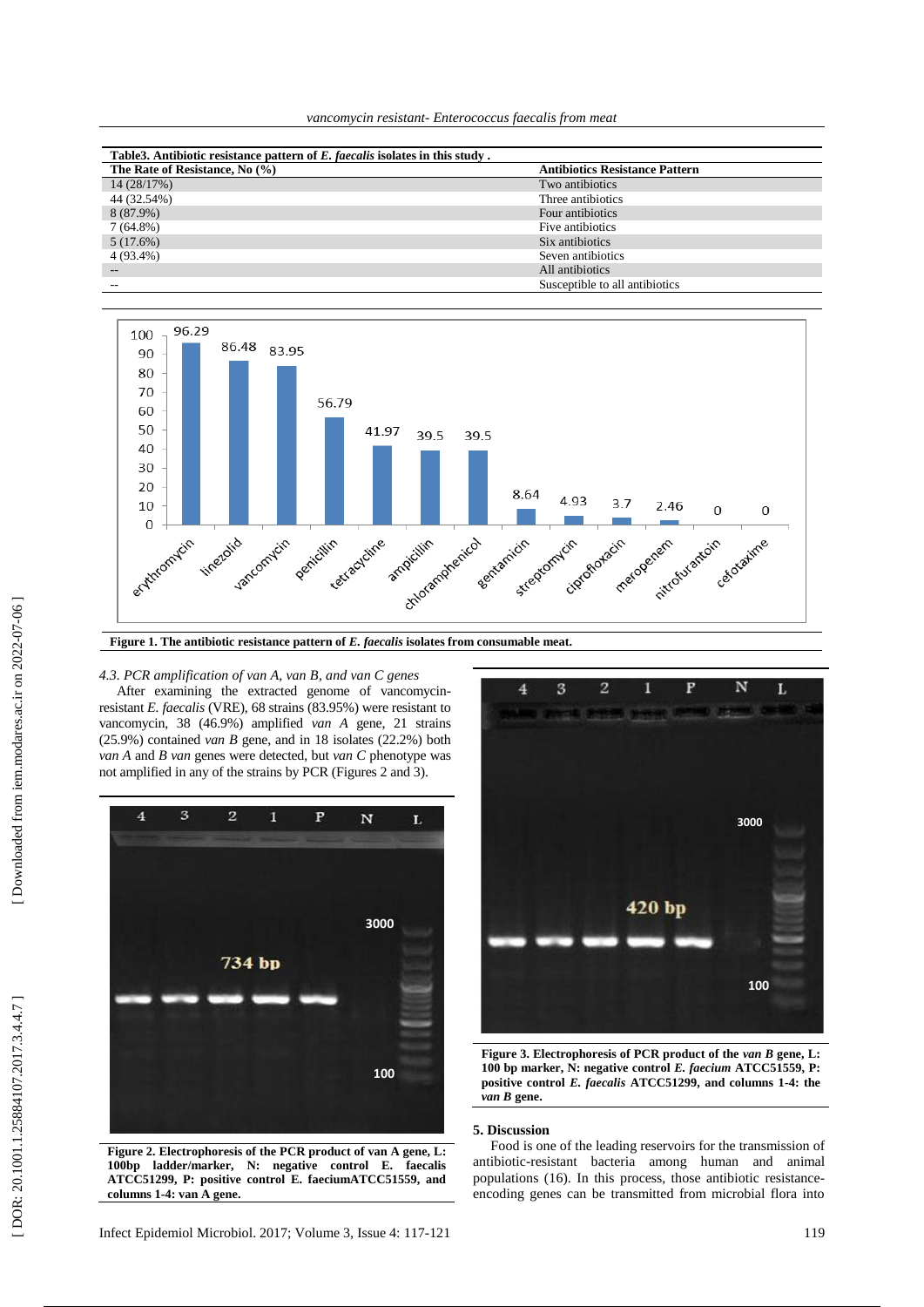*vancomycin resistant - Enterococcus faecalis from meat*

| Table3. Antibiotic resistance pattern of E. faecalis isolates in this study. |                                       |  |  |  |  |
|------------------------------------------------------------------------------|---------------------------------------|--|--|--|--|
| The Rate of Resistance, No (%)                                               | <b>Antibiotics Resistance Pattern</b> |  |  |  |  |
| 14 (28/17%)                                                                  | Two antibiotics                       |  |  |  |  |
| 44 (32.54%)                                                                  | Three antibiotics                     |  |  |  |  |
| 8 (87.9%)                                                                    | Four antibiotics                      |  |  |  |  |
| $7(64.8\%)$                                                                  | Five antibiotics                      |  |  |  |  |
| 5(17.6%)                                                                     | Six antibiotics                       |  |  |  |  |
| 4 (93.4%)                                                                    | Seven antibiotics                     |  |  |  |  |
| $\qquad \qquad -$                                                            | All antibiotics                       |  |  |  |  |
|                                                                              | Susceptible to all antibiotics        |  |  |  |  |



*4.3. PCR amplification of van A, van B , and van C genes* 

After examining the extracted genome of vancomycin resistant *E. faecalis* (VRE), 68 strains (83.95%) were resistant to vancomycin, 38 (46.9%) amplified *van A* gene , 21 strains (25.9%) contained *van B* gene , and in 18 isolates (22.2%) both *van A* and *B van* genes were detected, but *van C* phenotype was not amplified in any of the strains by PCR (Figures 2 and 3).



**Figure 2. Electrophoresis of the PCR product of van A gene, L: 100bp ladder/marker, N: negative control E. faecalis ATCC51299, P: positive control E. faeciumATCC51559, and columns 1 -4: van A gene .**



**Figure 3. Electrophoresis of PCR product of the** *van B* **gene, L: 100 bp marker, N: negative control** *E. faecium* **ATCC51559, P: positive control** *E. faecalis* **ATCC51299, and columns 1 -4: the**  *van B* **gene .**

# **5. Discussion**

Food is one of the leading reservoirs for the transmission of antibiotic -resistant bacteria among human and animal populations ( 1 6). In this process, those antibiotic resistance encoding genes can be transmitted from microbial flora into

DOR: 20.1001.1.25884107.2017.3.4.4.7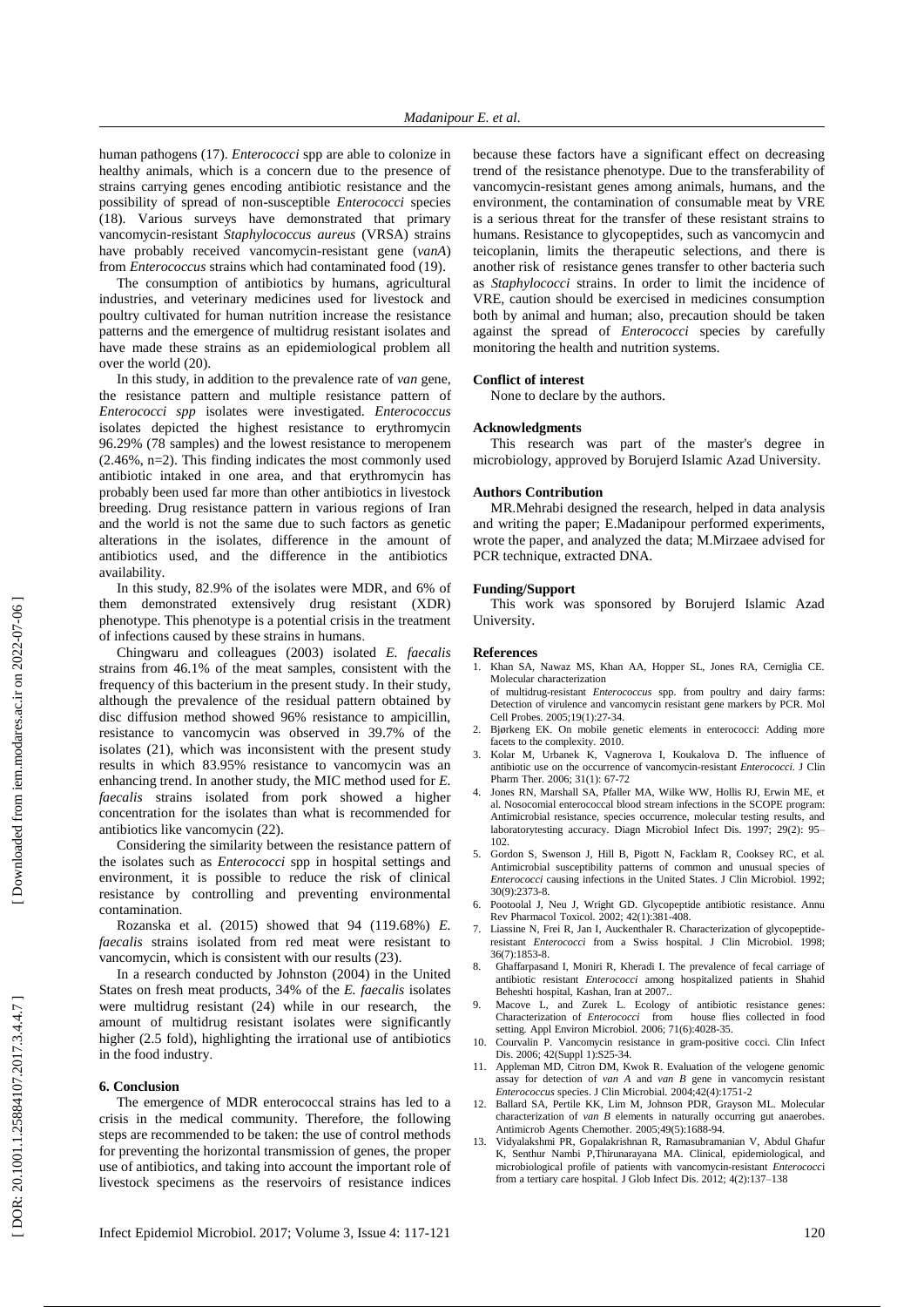human pathogens ( 1 7). *Enterococci* spp are able to colonize in healthy animals , which is a concern due to the presence of strains carrying genes encoding antibiotic resistance and the possibility of spread of non -susceptible *Enterococci* species ( 1 8). Various surveys have demonstrated that primary vancomycin -resistant *Staphylococcus aureus* (VRSA) strains have probably received vancomycin -resistan t gene (*vanA*) from *Enterococcus* strains which had contaminated food (19).

The consumption of antibiotics by humans, agricultural industries, and veterinary medicine s used for livestock and poultry cultivated for human nutrition increase the resistance patterns and the emergence of multidrug resistant isolates and have made these strains as an epidemiological problem all over the world (20).

In this study, in addition to the prevalence rate of *van* gene, the resistance pattern and multiple resistance pattern of *Enterococci spp* isolates were investigated. *Enterococcus* isolates depicted the highest resistance to erythromycin 96.29% (78 samples) and the lowest resistance to meropenem (2.46%, n=2). This finding indicates the most commonly used antibiotic intake d in one area , and that erythromycin has probably been used far more than other antibiotics in livestock breeding. Drug resistance pattern in various regions of Iran and the world is not the same due to such factors as genetic alterations in the isolates , difference in the amount of antibiotic s used, and the difference in the antibiotics availability .

In this study, 82.9% of the isolates were MDR , and 6% of them demonstrated extensively drug resistant (XDR) phenotype. This phenotype is a potential crisis in the treatment of infections caused by these strains in humans .

Chingwaru and colleagues (2003) isolated *E. faecalis* strains from 46.1% of the meat samples, consistent with the frequency of this bacterium in the present study . In their study, although the prevalence of the residual pattern obtained by disc diffusion method showed 96% resistance to ampicillin, resistance to vancomycin was observed in 39.7% of the isolates ( 2 1), which was inconsistent with the present study results in which 83.95% resistance to vancomycin was an enhancing trend. In another study, the MIC method used for *E. faecalis* strains isolated from pork showed a higher concentration for the isolates than what is recommended for antibiotics like vancomycin ( 2 2).

Considering the similarity between the resistance pattern of the isolates such as *Enterococci* spp in hospital settings and environment, it is possible to reduce the risk of clinical resistance by controlling and preventing environmental contamination .

Rozanska et al. (2015) showed that 94 (119.68%) *E. faecalis* strains isolated from red meat were resistant to vancomycin, which is consistent with our results (23).

In a research conducted by Johnston (2004) in the United States on fresh meat products, 34% of the *E. faecalis* isolates were multidrug resistant (24) while in our research, the amount of multidrug resistan t isolates were significantly higher (2.5 fold), highlighting the irrational use of antibiotics in the food industry .

#### **6. Conclusion**

The emergence of MDR enterococcal strains has led to a crisis in the medical community. Therefore, the following steps are recommended to be taken: the use of control methods for preventing the horizontal transmission of genes , the proper use of antibiotics , and taking into account the importan t role of livestock specimens as the reservoirs of resistance indices

because these factors have a significant effect on decreasing trend of the resistance phenotype. Due to the transferability of vancomycin -resistan t genes among animals, humans , and the environment, the contamination of consumable meat by VRE is a serious threat for the transfer of these resistant strains to humans. Resistance to glycopeptides, such as vancomycin and teicoplanin, limits the therapeutic selections, and there is another risk of resistance genes transfer to other bacteria such as *Staphylococci* strains. In order to limit the incidence of VRE, caution should be exercised in medicines consumption both by animal and human ; also, precaution should be taken against the spread of *Enterococci* species by carefully monitoring the health and nutrition systems.

### **Conflict of interest**

None to declare by the authors.

#### **Acknowledgments**

This research was part of the master's degree in microbiology , approved by Borujerd Islamic Azad University.

### **Authors Contribution**

MR .Mehrabi designed the research, helped in data analysis and writing the paper; E .Madanipour performed experiments, wrote the paper , and analyzed the data; M .Mirzae e advised for PCR technique, extracted DNA.

### **Funding/Support**

This work was sponsored by Borujerd Islamic Azad University.

# **References**

- 1. Khan SA, Nawaz MS, Khan AA, Hopper SL, Jones RA, Cerniglia CE. Molecular characterization of multidrug -resistant *Enterococcus* spp. from poultry and dairy farms:
	- Detection of virulence and vancomycin resistant gene markers by PCR. Mol Cell Probes. 2005;19(1):27 -34.
- 2 . Bjørkeng EK. On mobile genetic elements in enterococci: Adding more facets to the complexity. 2010.
- 3 . Kolar M, Urbanek K, Vagnerova I, Koukalova D. The influence of antibiotic use on the occurrence of vancomycin -resistant *Enterococci.* J Clin Pharm Ther. 2006; 31(1): 67 -72
- 4 . Jones RN, Marshall SA, Pfaller MA, Wilke WW, Hollis RJ, Erwin ME, et al. Nosocomial enterococcal blood stream infections in the SCOPE program: Antimicrobial resistance, species occurrence, molecular testing results, and laboratorytesting accuracy. Diagn Microbiol Infect Dis. 1997; 29(2): 95 – 102.
- 5 . Gordon S, Swenson J, Hill B, Pigott N, Facklam R, Cooksey RC, et al. Antimicrobial susceptibility patterns of common and unusual species of *Enterococci* causing infections in the United States. J Clin Microbiol. 1992; 30(9):2373 -8.
- 6 . Pootoolal J, Neu J, Wright GD. Glycopeptide antibiotic resistance. Annu Rev Pharmacol Toxicol. 2002; 42(1):381-408.
- 7 . Liassine N, Frei R, Jan I, Auckenthaler R. Characterization of glycopeptide resistant *Enterococci* from a Swiss hospital. J Clin Microbiol. 1998; 36(7):1853 -8.
- 8 . Ghaffarpasand I, Moniri R, Kheradi I. The prevalence of fecal carriage of antibiotic resistant *Enterococci* among hospitalized patients in Shahid Beheshti hospital, Kashan, Iran at 2007..
- 9 . Macove L, and Zurek L. Ecology of antibiotic resistance genes: Characterization of *Enterococci* from house flies collected in food setting. Appl Environ Microbiol. 2006; 71(6):4028 -35.
- 10 . Courvalin P. Vancomycin resistance in gram -positive cocci. Clin Infect Dis. 2006; 42(Suppl 1):S25-34.
- 11 . Appleman MD, Citron DM, Kwok R. Evaluation of the velogene genomic assay for detection of *van A* and *van B* gene in vancomycin resistant *Enterococcus* species. J Clin Microbial. 2004;42(4):1751 - 2
- 12 . Ballard SA, Pertile KK, Lim M, Johnson PDR, Grayson ML. Molecular characterization of *van B* elements in naturally occurring gut anaerobes. Antimicrob Agents Chemother . 2005;49(5):168 8 -94.
- 13 . Vidyalakshmi PR, Gopalakrishnan R, Ramasubramanian V, Abdul Ghafur K, Senthur Nambi P,Thirunarayana MA. Clinical, epidemiological, and microbiological profile of patients with vancomycin - resistant *Enterococc*i from a tertiary care hospital. J Glob Infect Dis. 2012; 4(2):137 –138